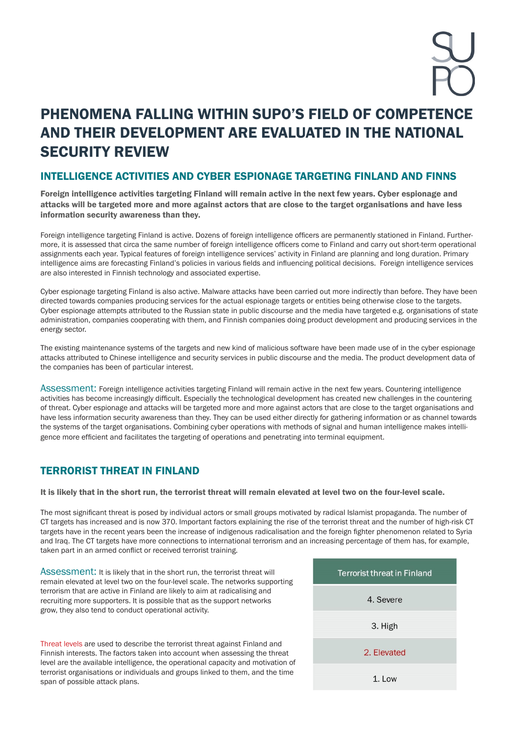# PHENOMENA FALLING WITHIN SUPO'S FIELD OF COMPETENCE AND THEIR DEVELOPMENT ARE EVALUATED IN THE NATIONAL SECURITY REVIEW

## INTELLIGENCE ACTIVITIES AND CYBER ESPIONAGE TARGETING FINLAND AND FINNS

Foreign intelligence activities targeting Finland will remain active in the next few years. Cyber espionage and attacks will be targeted more and more against actors that are close to the target organisations and have less information security awareness than they.

Foreign intelligence targeting Finland is active. Dozens of foreign intelligence officers are permanently stationed in Finland. Furthermore, it is assessed that circa the same number of foreign intelligence officers come to Finland and carry out short-term operational assignments each year. Typical features of foreign intelligence services' activity in Finland are planning and long duration. Primary intelligence aims are forecasting Finland's policies in various fields and influencing political decisions. Foreign intelligence services are also interested in Finnish technology and associated expertise.

Cyber espionage targeting Finland is also active. Malware attacks have been carried out more indirectly than before. They have been directed towards companies producing services for the actual espionage targets or entities being otherwise close to the targets. Cyber espionage attempts attributed to the Russian state in public discourse and the media have targeted e.g. organisations of state administration, companies cooperating with them, and Finnish companies doing product development and producing services in the energy sector.

The existing maintenance systems of the targets and new kind of malicious software have been made use of in the cyber espionage attacks attributed to Chinese intelligence and security services in public discourse and the media. The product development data of the companies has been of particular interest.

Assessment: Foreign intelligence activities targeting Finland will remain active in the next few years. Countering intelligence activities has become increasingly difficult. Especially the technological development has created new challenges in the countering of threat. Cyber espionage and attacks will be targeted more and more against actors that are close to the target organisations and have less information security awareness than they. They can be used either directly for gathering information or as channel towards the systems of the target organisations. Combining cyber operations with methods of signal and human intelligence makes intelligence more efficient and facilitates the targeting of operations and penetrating into terminal equipment.

## TERRORIST THREAT IN FINLAND

It is likely that in the short run, the terrorist threat will remain elevated at level two on the four-level scale.

The most significant threat is posed by individual actors or small groups motivated by radical Islamist propaganda. The number of CT targets has increased and is now 370. Important factors explaining the rise of the terrorist threat and the number of high-risk CT targets have in the recent years been the increase of indigenous radicalisation and the foreign fighter phenomenon related to Syria and Iraq. The CT targets have more connections to international terrorism and an increasing percentage of them has, for example, taken part in an armed conflict or received terrorist training.

Assessment: It is likely that in the short run, the terrorist threat will remain elevated at level two on the four-level scale. The networks supporting terrorism that are active in Finland are likely to aim at radicalising and recruiting more supporters. It is possible that as the support networks grow, they also tend to conduct operational activity.

Threat levels are used to describe the terrorist threat against Finland and Finnish interests. The factors taken into account when assessing the threat level are the available intelligence, the operational capacity and motivation of terrorist organisations or individuals and groups linked to them, and the time span of possible attack plans.